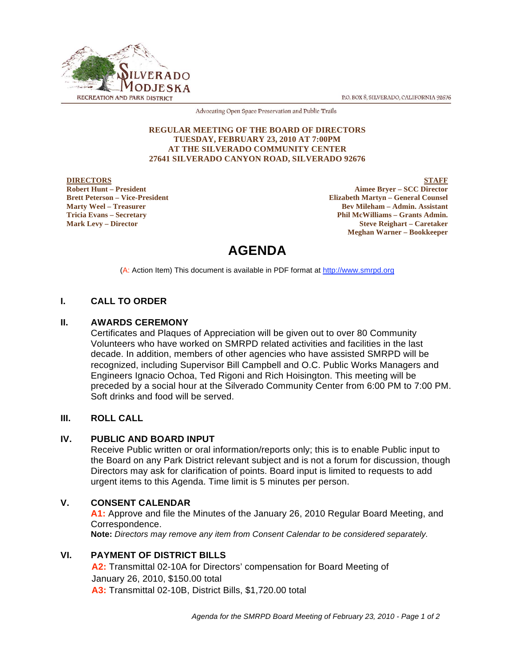P.O. BOX 8, SILVERADO, CALIFORNIA 92676



Advocating Open Space Preservation and Public Trails

#### **REGULAR MEETING OF THE BOARD OF DIRECTORS TUESDAY, FEBRUARY 23, 2010 AT 7:00PM AT THE SILVERADO COMMUNITY CENTER 27641 SILVERADO CANYON ROAD, SILVERADO 92676**

#### **DIRECTORS Robert Hunt – President Brett Peterson – Vice-President Marty Weel – Treasurer Tricia Evans – Secretary Mark Levy – Director**

**STAFF Aimee Bryer – SCC Director Elizabeth Martyn – General Counsel Bev Mileham – Admin. Assistant Phil McWilliams – Grants Admin. Steve Reighart – Caretaker Meghan Warner – Bookkeeper**

# **AGENDA**

(A: Action Item) This document is available in PDF format at http://www.smrpd.org

# **I. CALL TO ORDER**

#### **II. AWARDS CEREMONY**

Certificates and Plaques of Appreciation will be given out to over 80 Community Volunteers who have worked on SMRPD related activities and facilities in the last decade. In addition, members of other agencies who have assisted SMRPD will be recognized, including Supervisor Bill Campbell and O.C. Public Works Managers and Engineers Ignacio Ochoa, Ted Rigoni and Rich Hoisington. This meeting will be preceded by a social hour at the Silverado Community Center from 6:00 PM to 7:00 PM. Soft drinks and food will be served.

# **III. ROLL CALL**

# **IV. PUBLIC AND BOARD INPUT**

Receive Public written or oral information/reports only; this is to enable Public input to the Board on any Park District relevant subject and is not a forum for discussion, though Directors may ask for clarification of points. Board input is limited to requests to add urgent items to this Agenda. Time limit is 5 minutes per person.

# **V. CONSENT CALENDAR**

**A1:** Approve and file the Minutes of the January 26, 2010 Regular Board Meeting, and Correspondence. **Note:** *Directors may remove any item from Consent Calendar to be considered separately.*

# **VI. PAYMENT OF DISTRICT BILLS**

**A2:** Transmittal 02-10A for Directors' compensation for Board Meeting of January 26, 2010, \$150.00 total **A3:** Transmittal 02-10B, District Bills, \$1,720.00 total